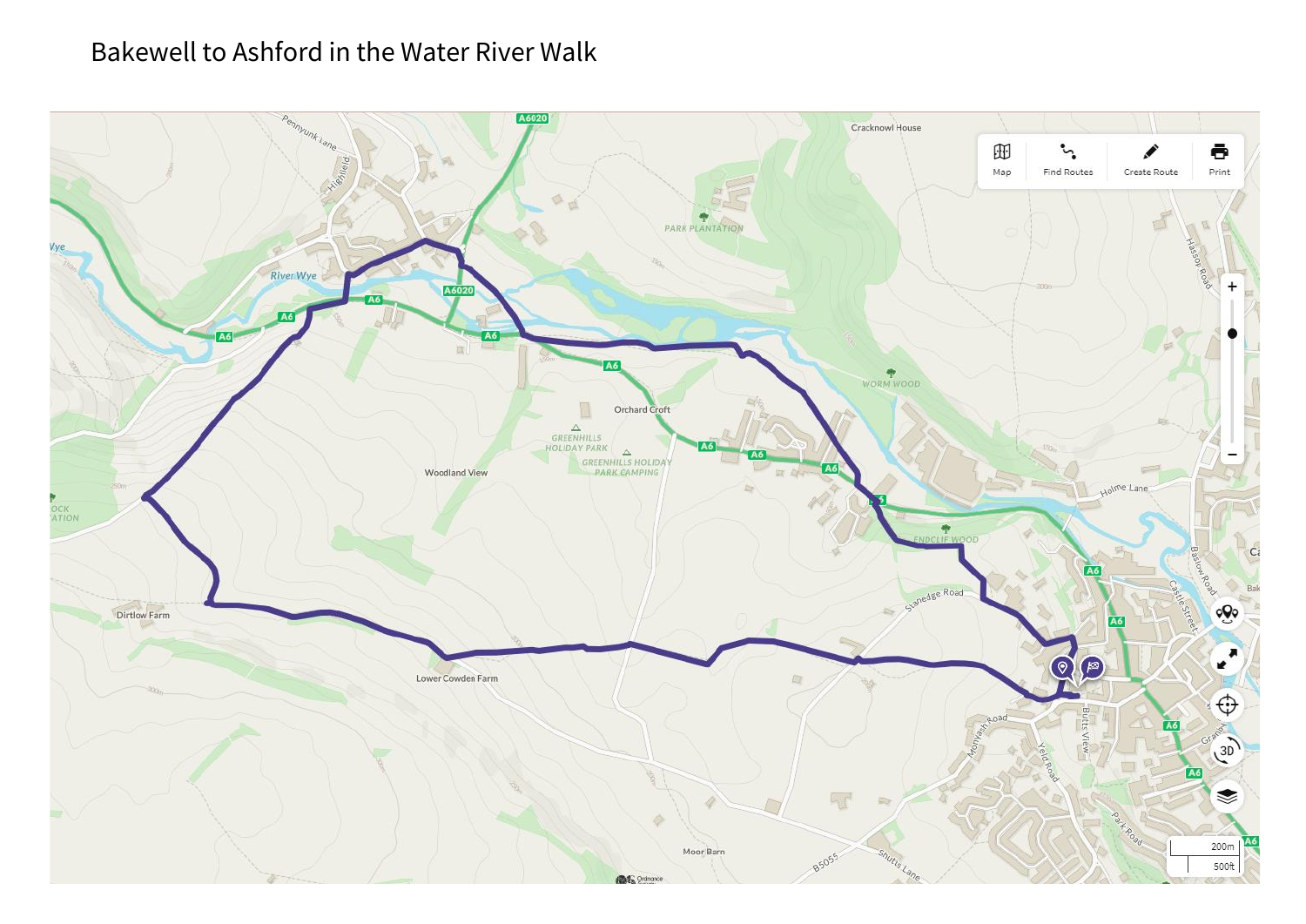## Bakewell to Ashford in the Water River Walk

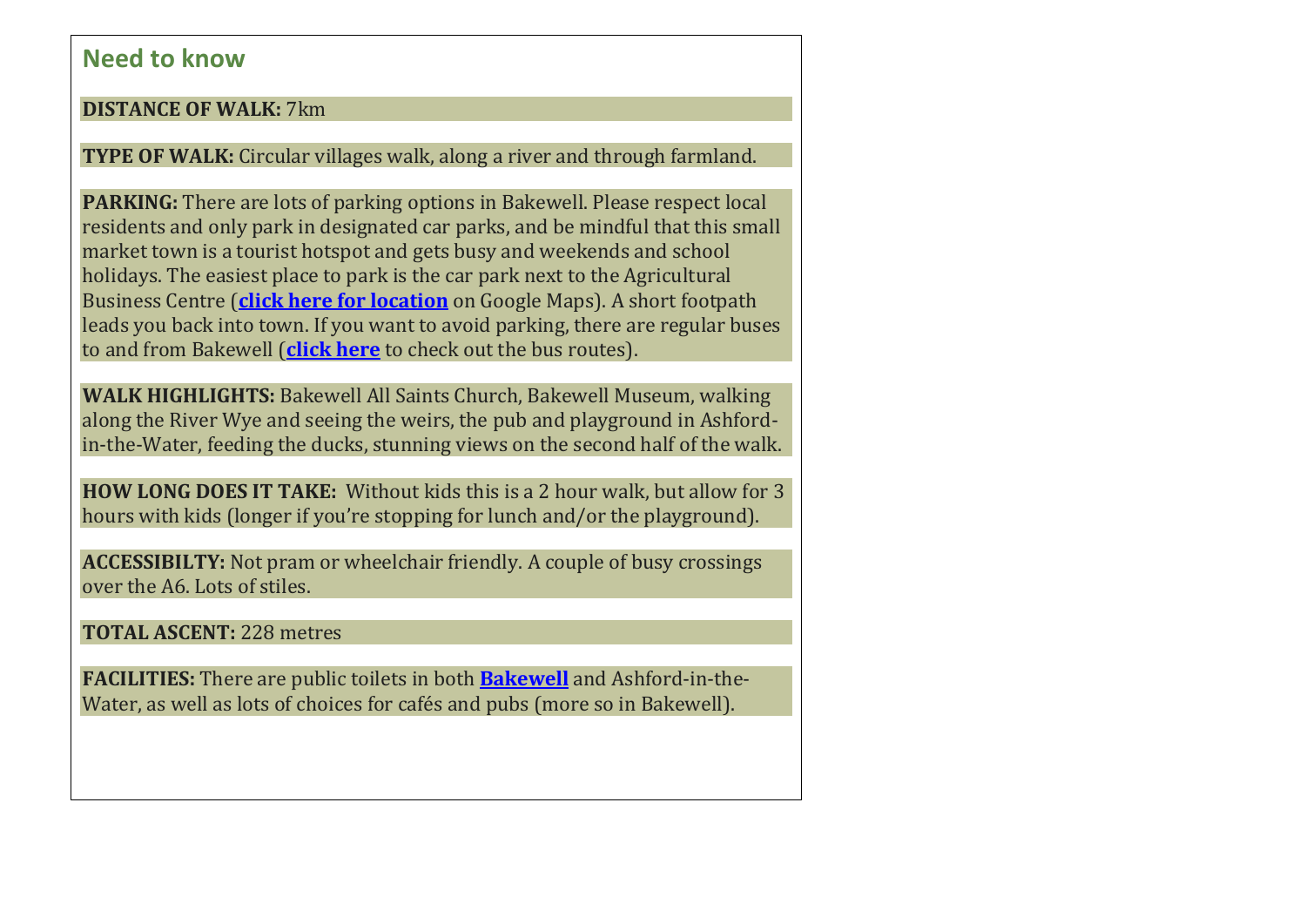## **Need to know**

## **DISTANCE OF WALK:** 7km

**TYPE OF WALK:** Circular villages walk, along a river and through farmland.

**PARKING:** There are lots of parking options in Bakewell. Please respect local residents and only park in designated car parks, and be mindful that this small market town is a tourist hotspot and gets busy and weekends and school holidays. The easiest place to park is the car park next to the Agricultural Business Centre (**click here for [location](https://goo.gl/maps/Gc4UTSq4mTq573NJA)** on Google Maps). A short footpath leads you back into town. If you want to avoid parking, there are regular buses to and from Bakewell (**[click](http://www.derbysbus.info/maps/county.htm) here** to check out the bus routes).

**WALK HIGHLIGHTS:** Bakewell All Saints Church, Bakewell Museum, walking along the River Wye and seeing the weirs, the pub and playground in Ashfordin-the-Water, feeding the ducks, stunning views on the second half of the walk.

**HOW LONG DOES IT TAKE:** Without kids this is a 2 hour walk, but allow for 3 hours with kids (longer if you're stopping for lunch and/or the playground).

**ACCESSIBILTY:** Not pram or wheelchair friendly. A couple of busy crossings over the A6. Lots of stiles.

**TOTAL ASCENT:** 228 metres

**FACILITIES:** There are public toilets in both **[Bakewell](https://peakdistrictkids.co.uk/things-to-do-in-bakewell/)** and Ashford-in-the-Water, as well as lots of choices for cafés and pubs (more so in Bakewell).